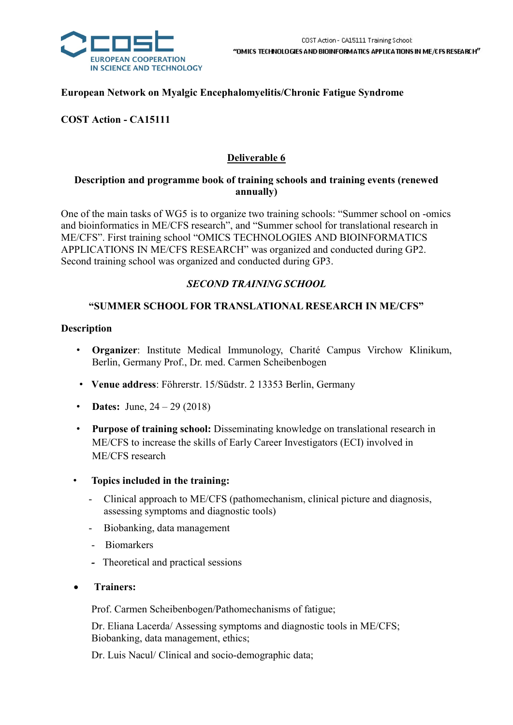

### European Network on Myalgic Encephalomyelitis/Chronic Fatigue Syndrome

COST Action - CA15111

# Deliverable 6

#### Description and programme book of training schools and training events (renewed annually)

One of the main tasks of WG5 is to organize two training schools: "Summer school on -omics and bioinformatics in ME/CFS research", and "Summer school for translational research in ME/CFS". First training school "OMICS TECHNOLOGIES AND BIOINFORMATICS APPLICATIONS IN ME/CFS RESEARCH" was organized and conducted during GP2. Second training school was organized and conducted during GP3.

## SECOND TRAINING SCHOOL

### "SUMMER SCHOOL FOR TRANSLATIONAL RESEARCH IN ME/CFS"

#### Description

- Organizer: Institute Medical Immunology, Charité Campus Virchow Klinikum, Berlin, Germany Prof., Dr. med. Carmen Scheibenbogen
- Venue address: Föhrerstr. 15/Südstr. 2 13353 Berlin, Germany
- Dates: June,  $24 29 (2018)$
- Purpose of training school: Disseminating knowledge on translational research in ME/CFS to increase the skills of Early Career Investigators (ECI) involved in ME/CFS research
- Topics included in the training:
	- Clinical approach to ME/CFS (pathomechanism, clinical picture and diagnosis, assessing symptoms and diagnostic tools)
	- Biobanking, data management
	- Biomarkers
	- Theoretical and practical sessions
- Trainers:

Prof. Carmen Scheibenbogen/Pathomechanisms of fatigue;

 Dr. Eliana Lacerda/ Assessing symptoms and diagnostic tools in ME/CFS; Biobanking, data management, ethics;

Dr. Luis Nacul/ Clinical and socio-demographic data;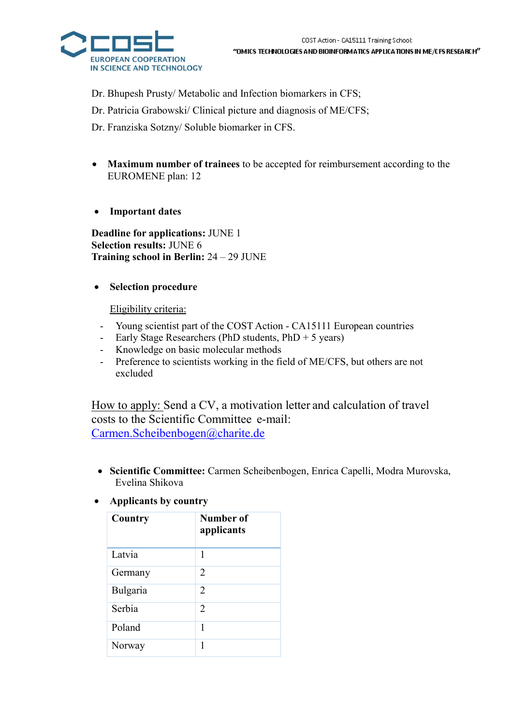

Dr. Bhupesh Prusty/ Metabolic and Infection biomarkers in CFS;

Dr. Patricia Grabowski/ Clinical picture and diagnosis of ME/CFS;

Dr. Franziska Sotzny/ Soluble biomarker in CFS.

- Maximum number of trainees to be accepted for reimbursement according to the EUROMENE plan: 12
- Important dates

Deadline for applications: JUNE 1 Selection results: JUNE 6 Training school in Berlin: 24 – 29 JUNE

### • Selection procedure

Eligibility criteria:

- Young scientist part of the COST Action CA15111 European countries
- Early Stage Researchers (PhD students,  $PhD + 5$  years)
- Knowledge on basic molecular methods
- Preference to scientists working in the field of ME/CFS, but others are not excluded

How to apply: Send a CV, a motivation letter and calculation of travel costs to the Scientific Committee e-mail: Carmen.Scheibenbogen@charite.de

- Scientific Committee: Carmen Scheibenbogen, Enrica Capelli, Modra Murovska, Evelina Shikova
- Applicants by country

| Country  | Number of<br>applicants |
|----------|-------------------------|
| Latvia   | 1                       |
| Germany  | 2                       |
| Bulgaria | $\mathcal{L}$           |
| Serbia   | $\overline{2}$          |
| Poland   | 1                       |
| Norway   | 1                       |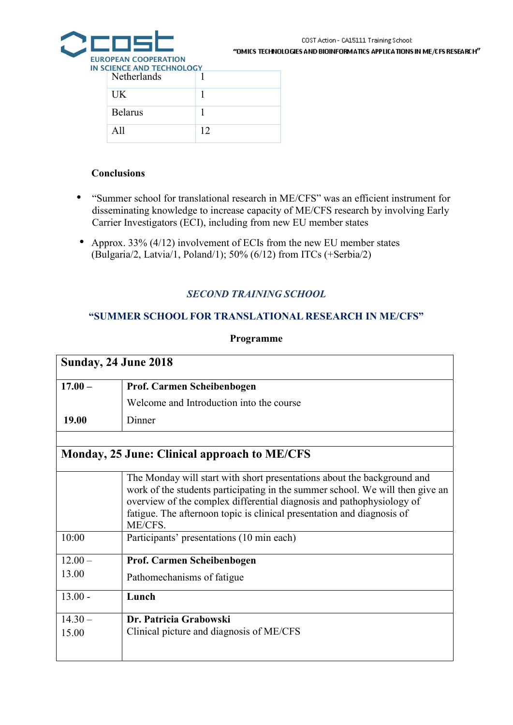

"OMICS TECHNOLOGIES AND BIOINFORMATICS APPLICATIONS IN ME/CFS RESEARCH"

| <b>SCIENCE AND TECHNOLOGY</b><br>Netherlands |    |
|----------------------------------------------|----|
| <b>IJK</b>                                   |    |
| <b>Belarus</b>                               |    |
| $\Delta$ 11                                  | 12 |

#### **Conclusions**

- "Summer school for translational research in ME/CFS" was an efficient instrument for disseminating knowledge to increase capacity of ME/CFS research by involving Early Carrier Investigators (ECI), including from new EU member states
- Approx. 33% (4/12) involvement of ECIs from the new EU member states (Bulgaria/2, Latvia/1, Poland/1); 50% (6/12) from ITCs (+Serbia/2)

### SECOND TRAINING SCHOOL

#### "SUMMER SCHOOL FOR TRANSLATIONAL RESEARCH IN ME/CFS"

#### Programme

| <b>Sunday, 24 June 2018</b> |                                                                                                                                                                                                                                                                                                                        |  |  |  |  |
|-----------------------------|------------------------------------------------------------------------------------------------------------------------------------------------------------------------------------------------------------------------------------------------------------------------------------------------------------------------|--|--|--|--|
| $17.00 -$                   | Prof. Carmen Scheibenbogen                                                                                                                                                                                                                                                                                             |  |  |  |  |
|                             | Welcome and Introduction into the course                                                                                                                                                                                                                                                                               |  |  |  |  |
| 19.00                       | Dinner                                                                                                                                                                                                                                                                                                                 |  |  |  |  |
|                             |                                                                                                                                                                                                                                                                                                                        |  |  |  |  |
|                             | <b>Monday, 25 June: Clinical approach to ME/CFS</b>                                                                                                                                                                                                                                                                    |  |  |  |  |
|                             | The Monday will start with short presentations about the background and<br>work of the students participating in the summer school. We will then give an<br>overview of the complex differential diagnosis and pathophysiology of<br>fatigue. The afternoon topic is clinical presentation and diagnosis of<br>ME/CFS. |  |  |  |  |
| 10:00                       | Participants' presentations (10 min each)                                                                                                                                                                                                                                                                              |  |  |  |  |
| $12.00 -$                   | Prof. Carmen Scheibenbogen                                                                                                                                                                                                                                                                                             |  |  |  |  |
| 13.00                       | Pathomechanisms of fatigue                                                                                                                                                                                                                                                                                             |  |  |  |  |
| $13.00 -$                   | Lunch                                                                                                                                                                                                                                                                                                                  |  |  |  |  |
| $14.30 -$                   | Dr. Patricia Grabowski                                                                                                                                                                                                                                                                                                 |  |  |  |  |
| 15.00                       | Clinical picture and diagnosis of ME/CFS                                                                                                                                                                                                                                                                               |  |  |  |  |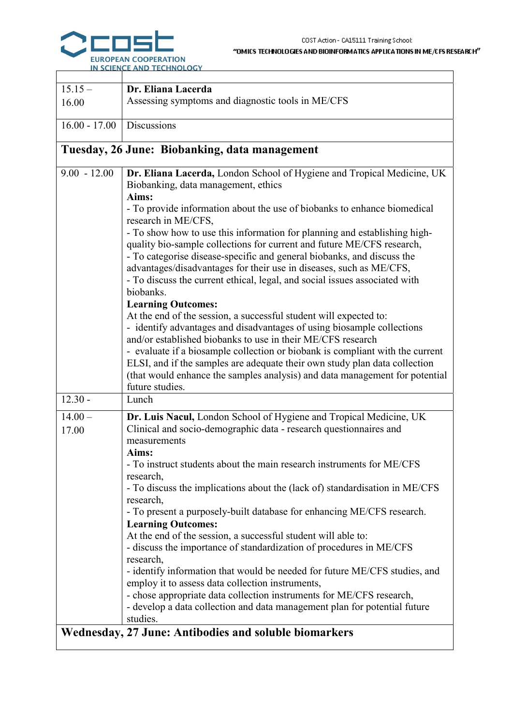#### IS IN ME/CFS RESEARCH"

|                    | COST Action - CA15111 Training School:<br>"OMICS TECHNOLOGIES AND BIOINFORMATICS APPLICATIONS IN ME/CFS F<br>EUROPEAN COOPERATION<br>IN SCIENCE AND TECHNOLOGY                                                                                                                                                                                                                                                                                                                                                                                                                                                                                                                                                                                                                                                                                                                                                                                                                                                                                                                                                                           |
|--------------------|------------------------------------------------------------------------------------------------------------------------------------------------------------------------------------------------------------------------------------------------------------------------------------------------------------------------------------------------------------------------------------------------------------------------------------------------------------------------------------------------------------------------------------------------------------------------------------------------------------------------------------------------------------------------------------------------------------------------------------------------------------------------------------------------------------------------------------------------------------------------------------------------------------------------------------------------------------------------------------------------------------------------------------------------------------------------------------------------------------------------------------------|
| $15.15 -$          | Dr. Eliana Lacerda                                                                                                                                                                                                                                                                                                                                                                                                                                                                                                                                                                                                                                                                                                                                                                                                                                                                                                                                                                                                                                                                                                                       |
| 16.00              | Assessing symptoms and diagnostic tools in ME/CFS                                                                                                                                                                                                                                                                                                                                                                                                                                                                                                                                                                                                                                                                                                                                                                                                                                                                                                                                                                                                                                                                                        |
| $16.00 - 17.00$    | <b>Discussions</b>                                                                                                                                                                                                                                                                                                                                                                                                                                                                                                                                                                                                                                                                                                                                                                                                                                                                                                                                                                                                                                                                                                                       |
|                    | Tuesday, 26 June: Biobanking, data management                                                                                                                                                                                                                                                                                                                                                                                                                                                                                                                                                                                                                                                                                                                                                                                                                                                                                                                                                                                                                                                                                            |
| $9.00 - 12.00$     | Dr. Eliana Lacerda, London School of Hygiene and Tropical Medicine, UK<br>Biobanking, data management, ethics<br>Aims:<br>- To provide information about the use of biobanks to enhance biomedical<br>research in ME/CFS,<br>- To show how to use this information for planning and establishing high-<br>quality bio-sample collections for current and future ME/CFS research,<br>- To categorise disease-specific and general biobanks, and discuss the<br>advantages/disadvantages for their use in diseases, such as ME/CFS,<br>- To discuss the current ethical, legal, and social issues associated with<br>biobanks.<br><b>Learning Outcomes:</b><br>At the end of the session, a successful student will expected to:<br>- identify advantages and disadvantages of using biosample collections<br>and/or established biobanks to use in their ME/CFS research<br>- evaluate if a biosample collection or biobank is compliant with the current<br>ELSI, and if the samples are adequate their own study plan data collection<br>(that would enhance the samples analysis) and data management for potential<br>future studies. |
| $12.30 -$          | Lunch                                                                                                                                                                                                                                                                                                                                                                                                                                                                                                                                                                                                                                                                                                                                                                                                                                                                                                                                                                                                                                                                                                                                    |
| $14.00 -$<br>17.00 | Dr. Luis Nacul, London School of Hygiene and Tropical Medicine, UK<br>Clinical and socio-demographic data - research questionnaires and<br>measurements<br>Aims:<br>- To instruct students about the main research instruments for ME/CFS<br>research,<br>- To discuss the implications about the (lack of) standardisation in ME/CFS<br>research,<br>- To present a purposely-built database for enhancing ME/CFS research.<br><b>Learning Outcomes:</b>                                                                                                                                                                                                                                                                                                                                                                                                                                                                                                                                                                                                                                                                                |

At the end of the session, a successful student will able to:

- discuss the importance of standardization of procedures in ME/CFS research,

- identify information that would be needed for future ME/CFS studies, and employ it to assess data collection instruments,

- chose appropriate data collection instruments for ME/CFS research, - develop a data collection and data management plan for potential future studies.

# Wednesday, 27 June: Antibodies and soluble biomarkers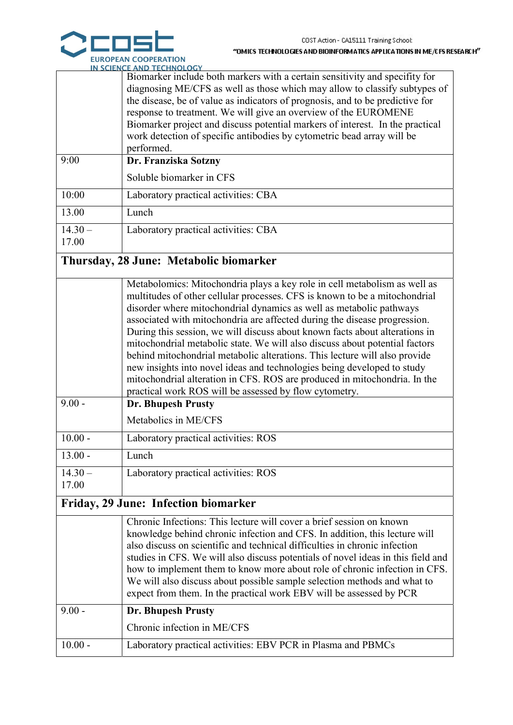

|           | <b>N SCIENCE AND TECHNOLOGY</b>                                               |  |  |  |  |  |
|-----------|-------------------------------------------------------------------------------|--|--|--|--|--|
|           | Biomarker include both markers with a certain sensitivity and specifity for   |  |  |  |  |  |
|           | diagnosing ME/CFS as well as those which may allow to classify subtypes of    |  |  |  |  |  |
|           | the disease, be of value as indicators of prognosis, and to be predictive for |  |  |  |  |  |
|           | response to treatment. We will give an overview of the EUROMENE               |  |  |  |  |  |
|           | Biomarker project and discuss potential markers of interest. In the practical |  |  |  |  |  |
|           | work detection of specific antibodies by cytometric bead array will be        |  |  |  |  |  |
|           | performed.                                                                    |  |  |  |  |  |
| 9:00      | Dr. Franziska Sotzny                                                          |  |  |  |  |  |
|           | Soluble biomarker in CFS                                                      |  |  |  |  |  |
| 10:00     | Laboratory practical activities: CBA                                          |  |  |  |  |  |
| 13.00     | Lunch                                                                         |  |  |  |  |  |
| $14.30 -$ | Laboratory practical activities: CBA                                          |  |  |  |  |  |
| 17.00     |                                                                               |  |  |  |  |  |

# Thursday, 28 June: Metabolic biomarker

|                    | Metabolomics: Mitochondria plays a key role in cell metabolism as well as<br>multitudes of other cellular processes. CFS is known to be a mitochondrial<br>disorder where mitochondrial dynamics as well as metabolic pathways<br>associated with mitochondria are affected during the disease progression.<br>During this session, we will discuss about known facts about alterations in<br>mitochondrial metabolic state. We will also discuss about potential factors<br>behind mitochondrial metabolic alterations. This lecture will also provide<br>new insights into novel ideas and technologies being developed to study<br>mitochondrial alteration in CFS. ROS are produced in mitochondria. In the<br>practical work ROS will be assessed by flow cytometry. |
|--------------------|---------------------------------------------------------------------------------------------------------------------------------------------------------------------------------------------------------------------------------------------------------------------------------------------------------------------------------------------------------------------------------------------------------------------------------------------------------------------------------------------------------------------------------------------------------------------------------------------------------------------------------------------------------------------------------------------------------------------------------------------------------------------------|
| $9.00 -$           | <b>Dr. Bhupesh Prusty</b><br>Metabolics in ME/CFS                                                                                                                                                                                                                                                                                                                                                                                                                                                                                                                                                                                                                                                                                                                         |
| $10.00 -$          | Laboratory practical activities: ROS                                                                                                                                                                                                                                                                                                                                                                                                                                                                                                                                                                                                                                                                                                                                      |
| $13.00 -$          | Lunch                                                                                                                                                                                                                                                                                                                                                                                                                                                                                                                                                                                                                                                                                                                                                                     |
| $14.30 -$<br>17.00 | Laboratory practical activities: ROS                                                                                                                                                                                                                                                                                                                                                                                                                                                                                                                                                                                                                                                                                                                                      |

# Friday, 29 June: Infection biomarker

| $9.00 -$  | also discuss on scientific and technical difficulties in chronic infection<br>studies in CFS. We will also discuss potentials of novel ideas in this field and<br>how to implement them to know more about role of chronic infection in CFS.<br>We will also discuss about possible sample selection methods and what to<br>expect from them. In the practical work EBV will be assessed by PCR<br><b>Dr. Bhupesh Prusty</b> |
|-----------|------------------------------------------------------------------------------------------------------------------------------------------------------------------------------------------------------------------------------------------------------------------------------------------------------------------------------------------------------------------------------------------------------------------------------|
|           | Chronic infection in ME/CFS                                                                                                                                                                                                                                                                                                                                                                                                  |
| $10.00 -$ | Laboratory practical activities: EBV PCR in Plasma and PBMCs                                                                                                                                                                                                                                                                                                                                                                 |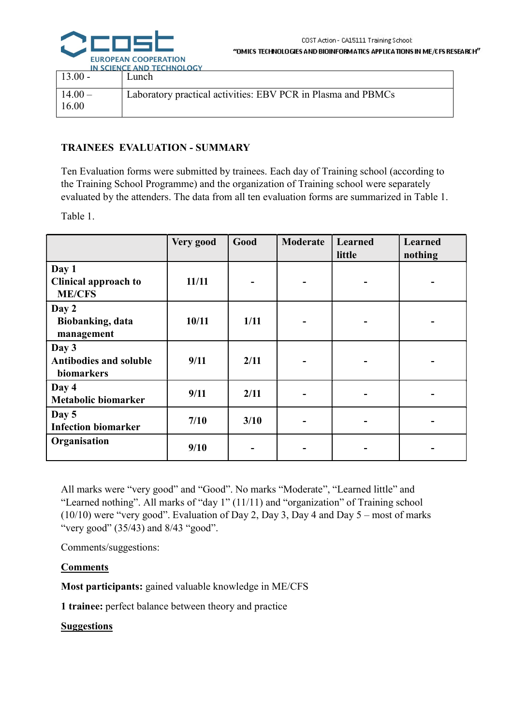

|           | IN SCIENCE AND TECHNOLOGY                                    |
|-----------|--------------------------------------------------------------|
| $13.00 -$ | Lunch.                                                       |
|           |                                                              |
| $14.00 -$ | Laboratory practical activities: EBV PCR in Plasma and PBMCs |
| 16.00     |                                                              |
|           |                                                              |

### TRAINEES EVALUATION - SUMMARY

Ten Evaluation forms were submitted by trainees. Each day of Training school (according to the Training School Programme) and the organization of Training school were separately evaluated by the attenders. The data from all ten evaluation forms are summarized in Table 1.

Table 1.

|                                                | Very good | Good | Moderate | Learned<br>little | Learned<br>nothing |
|------------------------------------------------|-----------|------|----------|-------------------|--------------------|
| Day 1<br>Clinical approach to<br><b>ME/CFS</b> | 11/11     |      |          |                   |                    |
| Day 2<br>Biobanking, data<br>management        | 10/11     | 1/11 |          |                   |                    |
| Day 3<br>Antibodies and soluble<br>biomarkers  | 9/11      | 2/11 |          |                   |                    |
| Day 4<br><b>Metabolic biomarker</b>            | 9/11      | 2/11 |          |                   |                    |
| Day 5<br><b>Infection biomarker</b>            | 7/10      | 3/10 |          |                   |                    |
| Organisation                                   | 9/10      |      |          |                   |                    |

All marks were "very good" and "Good". No marks "Moderate", "Learned little" and "Learned nothing". All marks of "day 1" (11/11) and "organization" of Training school (10/10) were "very good". Evaluation of Day 2, Day 3, Day 4 and Day  $5$  – most of marks "very good" (35/43) and 8/43 "good".

Comments/suggestions:

### Comments

Most participants: gained valuable knowledge in ME/CFS

1 trainee: perfect balance between theory and practice

Suggestions